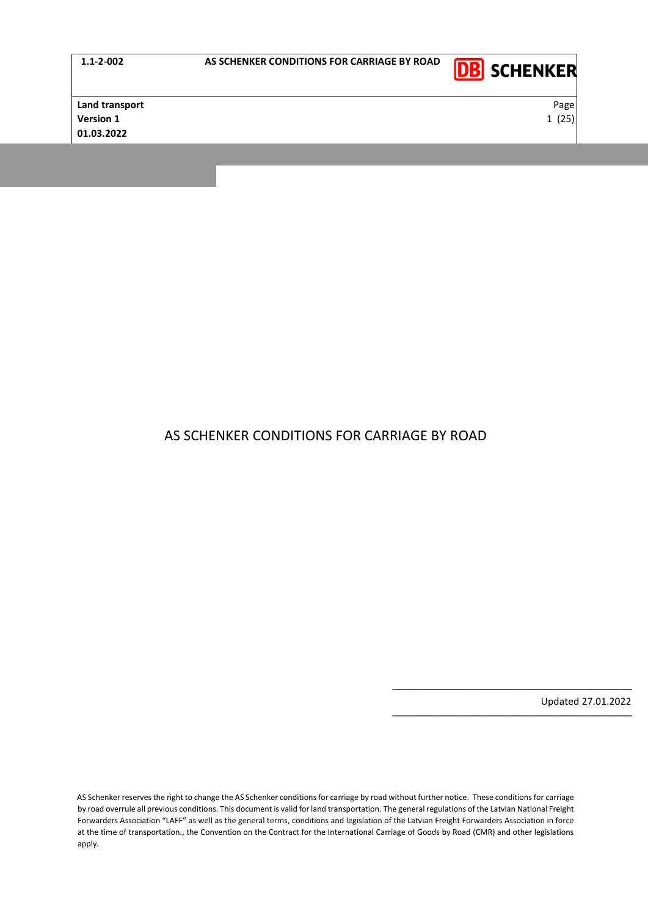

**Land transport** Page **Version 1** 25 and 25 and 25 and 25 and 25 and 25 and 25 and 25 and 25 and 25 and 25 and 25 and 25 and 25 and 25 and 25 and 25 and 25 and 25 and 25 and 25 and 25 and 25 and 25 and 25 and 25 and 25 and 25 and 25 and 25 and **01.03.2022**

# AS SCHENKER CONDITIONS FOR CARRIAGE BY ROAD

Updated 27.01.2022

−−−−−−−−−−−−−−−−−−−−−−−−−−−−−−−−−−−−−−−−−−−−

−−−−−−−−−−−−−−−−−−−−−−−−−−−−−−−−−−−−−−−−−−−−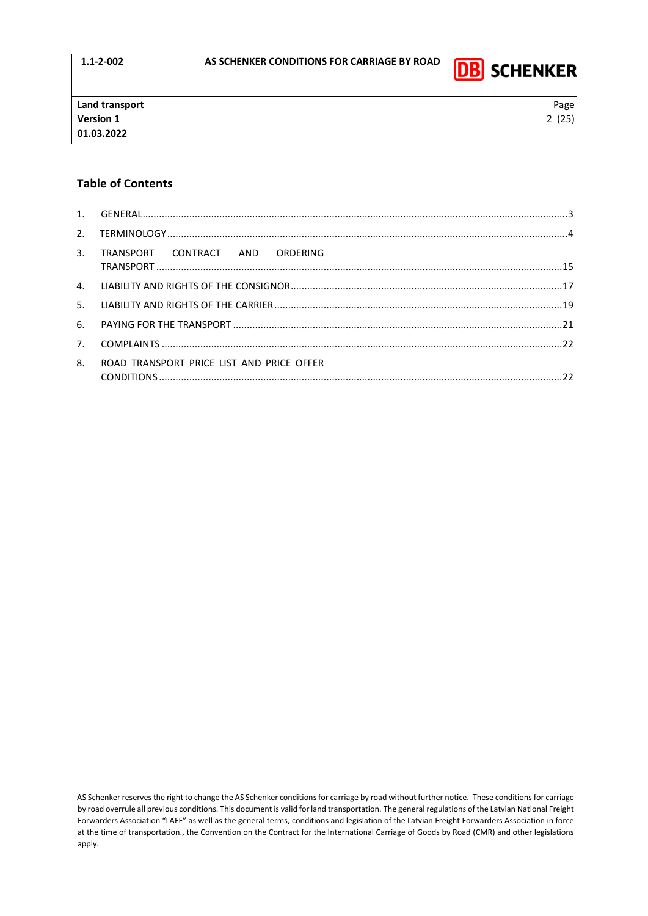

# **Table of Contents**

| 3 <sub>1</sub> | TRANSPORT CONTRACT AND ORDERING           |  |
|----------------|-------------------------------------------|--|
|                |                                           |  |
|                |                                           |  |
|                |                                           |  |
| 7.             |                                           |  |
| 8.             | ROAD TRANSPORT PRICE LIST AND PRICE OFFER |  |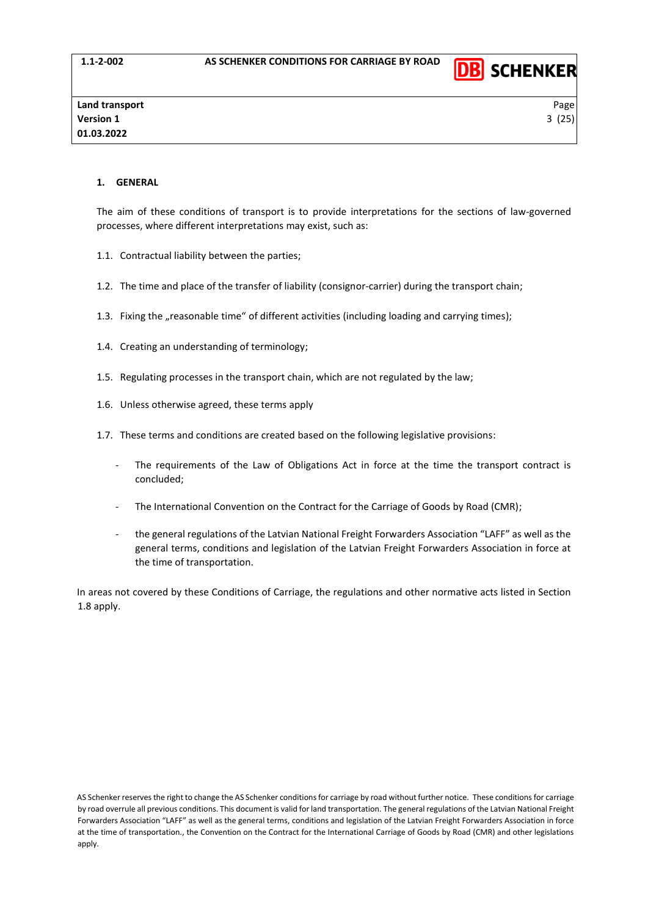

### <span id="page-2-0"></span>**1. GENERAL**

The aim of these conditions of transport is to provide interpretations for the sections of law-governed processes, where different interpretations may exist, such as:

- 1.1. Contractual liability between the parties;
- 1.2. The time and place of the transfer of liability (consignor-carrier) during the transport chain;
- 1.3. Fixing the "reasonable time" of different activities (including loading and carrying times);
- 1.4. Creating an understanding of terminology;
- 1.5. Regulating processes in the transport chain, which are not regulated by the law;
- 1.6. Unless otherwise agreed, these terms apply
- 1.7. These terms and conditions are created based on the following legislative provisions:
	- The requirements of the Law of Obligations Act in force at the time the transport contract is concluded;
	- The International Convention on the Contract for the Carriage of Goods by Road (CMR);
	- the general regulations of the Latvian National Freight Forwarders Association "LAFF" as well as the general terms, conditions and legislation of the Latvian Freight Forwarders Association in force at the time of transportation.

In areas not covered by these Conditions of Carriage, the regulations and other normative acts listed in Section 1.8 apply.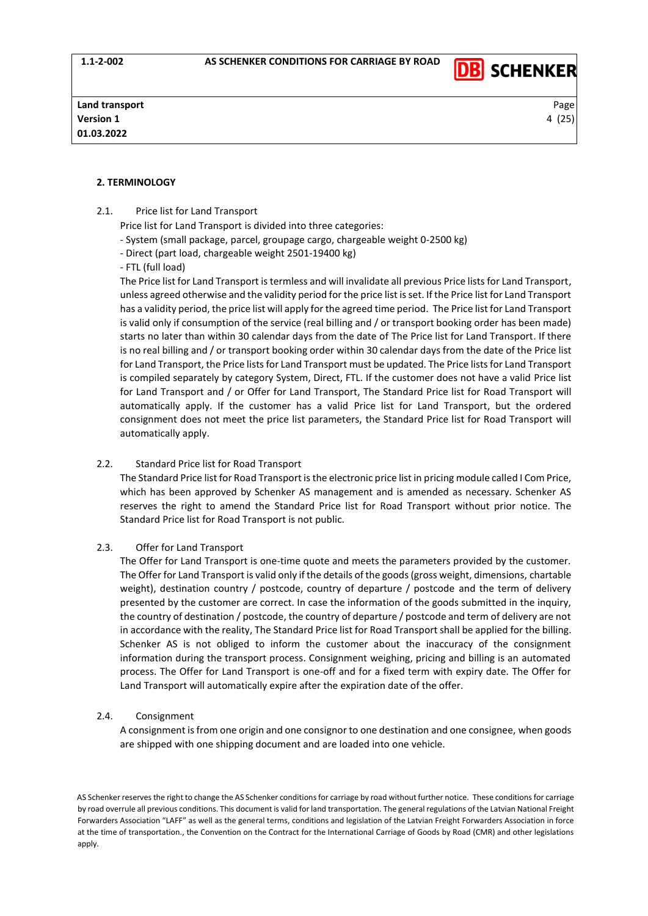

### <span id="page-3-0"></span>**2. TERMINOLOGY**

- 2.1. Price list for Land Transport
	- Price list for Land Transport is divided into three categories:
	- System (small package, parcel, groupage cargo, chargeable weight 0-2500 kg)
	- Direct (part load, chargeable weight 2501-19400 kg)
	- FTL (full load)

The Price list for Land Transport is termless and will invalidate all previous Price lists for Land Transport, unless agreed otherwise and the validity period for the price list is set. If the Price list for Land Transport has a validity period, the price list will apply for the agreed time period. The Price list for Land Transport is valid only if consumption of the service (real billing and / or transport booking order has been made) starts no later than within 30 calendar days from the date of The Price list for Land Transport. If there is no real billing and / or transport booking order within 30 calendar days from the date of the Price list for Land Transport, the Price lists for Land Transport must be updated. The Price lists for Land Transport is compiled separately by category System, Direct, FTL. If the customer does not have a valid Price list for Land Transport and / or Offer for Land Transport, The Standard Price list for Road Transport will automatically apply. If the customer has a valid Price list for Land Transport, but the ordered consignment does not meet the price list parameters, the Standard Price list for Road Transport will automatically apply.

### 2.2. Standard Price list for Road Transport

The Standard Price list for Road Transport is the electronic price list in pricing module called I Com Price, which has been approved by Schenker AS management and is amended as necessary. Schenker AS reserves the right to amend the Standard Price list for Road Transport without prior notice. The Standard Price list for Road Transport is not public.

### 2.3. Offer for Land Transport

The Offer for Land Transport is one-time quote and meets the parameters provided by the customer. The Offer for Land Transport is valid only if the details of the goods (gross weight, dimensions, chartable weight), destination country / postcode, country of departure / postcode and the term of delivery presented by the customer are correct. In case the information of the goods submitted in the inquiry, the country of destination / postcode, the country of departure / postcode and term of delivery are not in accordance with the reality, The Standard Price list for Road Transport shall be applied for the billing. Schenker AS is not obliged to inform the customer about the inaccuracy of the consignment information during the transport process. Consignment weighing, pricing and billing is an automated process. The Offer for Land Transport is one-off and for a fixed term with expiry date. The Offer for Land Transport will automatically expire after the expiration date of the offer.

### 2.4. Consignment

A consignment is from one origin and one consignor to one destination and one consignee, when goods are shipped with one shipping document and are loaded into one vehicle.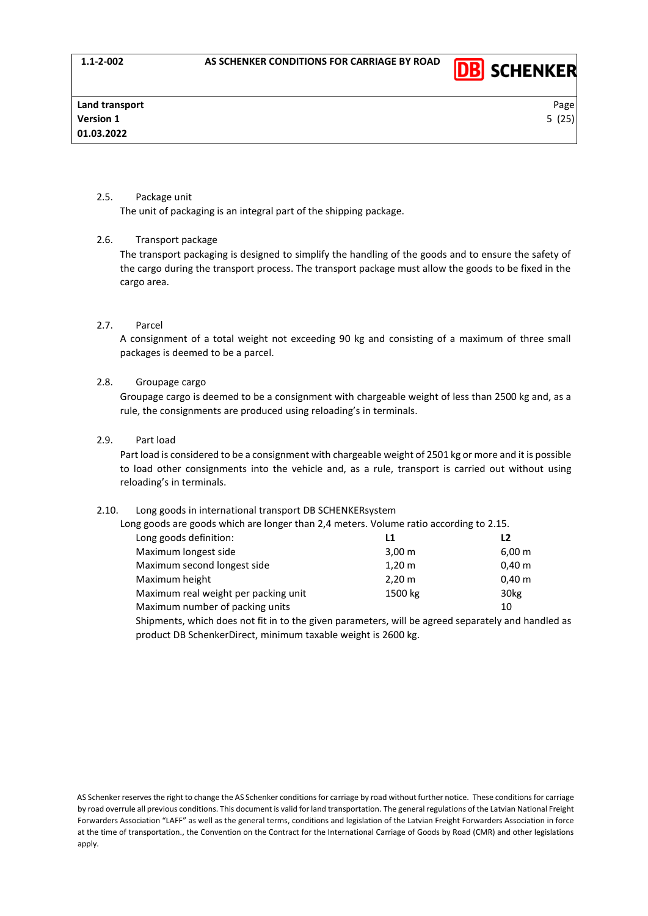

# 2.5. Package unit

The unit of packaging is an integral part of the shipping package.

### 2.6. Transport package

The transport packaging is designed to simplify the handling of the goods and to ensure the safety of the cargo during the transport process. The transport package must allow the goods to be fixed in the cargo area.

### 2.7. Parcel

A consignment of a total weight not exceeding 90 kg and consisting of a maximum of three small packages is deemed to be a parcel.

### 2.8. Groupage cargo

Groupage cargo is deemed to be a consignment with chargeable weight of less than 2500 kg and, as a rule, the consignments are produced using reloading's in terminals.

# 2.9. Part load

Part load is considered to be a consignment with chargeable weight of 2501 kg or more and it is possible to load other consignments into the vehicle and, as a rule, transport is carried out without using reloading's in terminals.

### 2.10. Long goods in international transport DB SCHENKERsystem

Long goods are goods which are longer than 2,4 meters. Volume ratio according to 2.15.

| Long goods definition:               | L1                   | L <sub>2</sub>       |
|--------------------------------------|----------------------|----------------------|
| Maximum longest side                 | $3,00 \, \text{m}$   | $6,00 \; \mathrm{m}$ |
| Maximum second longest side          | $1,20 \; \mathrm{m}$ | $0,40 \; \mathrm{m}$ |
| Maximum height                       | $2,20 \, \text{m}$   | $0,40 \; \mathrm{m}$ |
| Maximum real weight per packing unit | 1500 kg              | 30 <sub>kg</sub>     |
| Maximum number of packing units      |                      | 10                   |
|                                      |                      |                      |

Shipments, which does not fit in to the given parameters, will be agreed separately and handled as product DB SchenkerDirect, minimum taxable weight is 2600 kg.

AS Schenker reserves the right to change the AS Schenker conditions for carriage by road without further notice. These conditions for carriage by road overrule all previous conditions. This document is valid for land transportation. The general regulations of the Latvian National Freight Forwarders Association "LAFF" as well as the general terms, conditions and legislation of the Latvian Freight Forwarders Association in force at the time of transportation., the Convention on the Contract for the International Carriage of Goods by Road (CMR) and other legislations apply.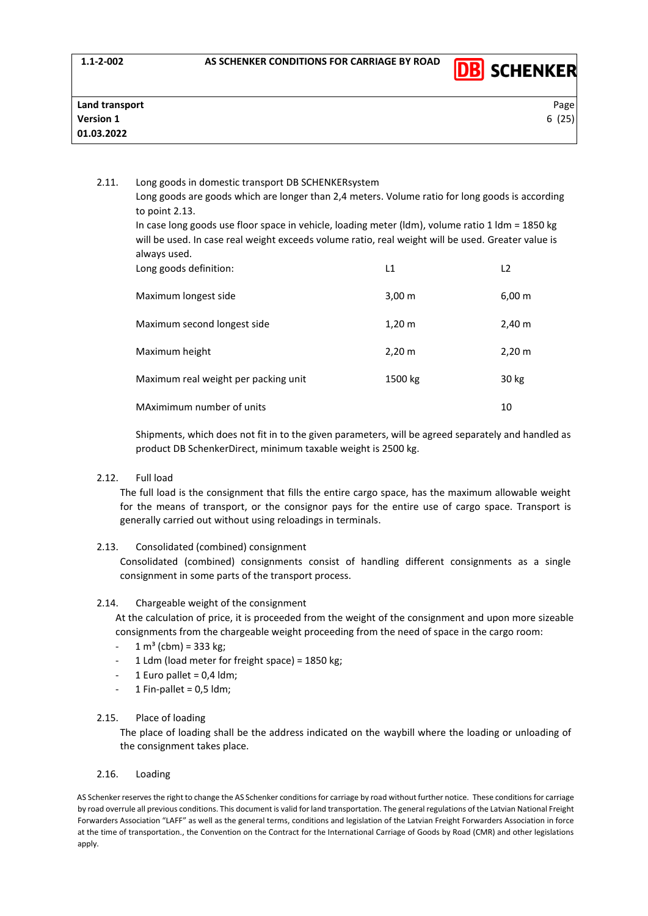

| Page  |
|-------|
| 6(25) |
|       |
|       |

2.11. Long goods in domestic transport DB SCHENKERsystem Long goods are goods which are longer than 2,4 meters. Volume ratio for long goods is according to point 2.13. In case long goods use floor space in vehicle, loading meter (ldm), volume ratio 1 ldm = 1850 kg will be used. In case real weight exceeds volume ratio, real weight will be used. Greater value is always used.

| Long goods definition:               | L1                 | L <sub>2</sub>     |
|--------------------------------------|--------------------|--------------------|
| Maximum longest side                 | $3,00 \, \text{m}$ | $6,00 \, \text{m}$ |
| Maximum second longest side          | $1,20 \, m$        | 2,40 m             |
| Maximum height                       | 2,20 m             | $2,20 \, \text{m}$ |
| Maximum real weight per packing unit | 1500 kg            | 30 kg              |
| MAximimum number of units            |                    | 10                 |

Shipments, which does not fit in to the given parameters, will be agreed separately and handled as product DB SchenkerDirect, minimum taxable weight is 2500 kg.

# 2.12. Full load

The full load is the consignment that fills the entire cargo space, has the maximum allowable weight for the means of transport, or the consignor pays for the entire use of cargo space. Transport is generally carried out without using reloadings in terminals.

### 2.13. Consolidated (combined) consignment

Consolidated (combined) consignments consist of handling different consignments as a single consignment in some parts of the transport process.

### 2.14. Chargeable weight of the consignment

At the calculation of price, it is proceeded from the weight of the consignment and upon more sizeable consignments from the chargeable weight proceeding from the need of space in the cargo room:

- $1 m<sup>3</sup>$  (cbm) = 333 kg;
- 1 Ldm (load meter for freight space) =  $1850$  kg;
- 1 Euro pallet =  $0.4$  ldm;
- $1$  Fin-pallet = 0,5 ldm;

# 2.15. Place of loading

The place of loading shall be the address indicated on the waybill where the loading or unloading of the consignment takes place.

# 2.16. Loading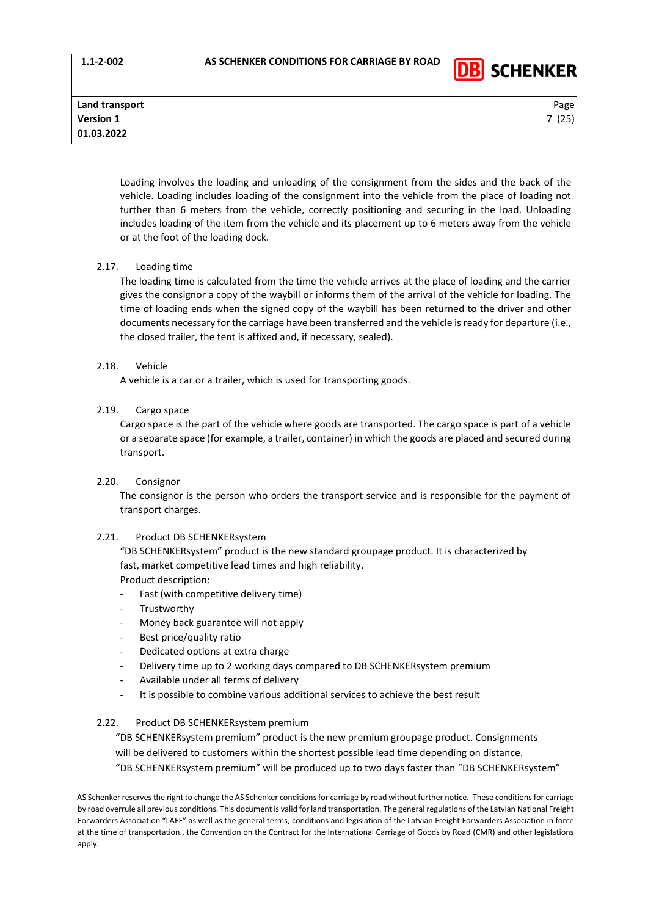**1.1-2-002 AS SCHENKER CONDITIONS FOR CARRIAGE BY ROAD**



**Land transport** Page **Version 1** 7 (25) **01.03.2022**

Loading involves the loading and unloading of the consignment from the sides and the back of the vehicle. Loading includes loading of the consignment into the vehicle from the place of loading not further than 6 meters from the vehicle, correctly positioning and securing in the load. Unloading includes loading of the item from the vehicle and its placement up to 6 meters away from the vehicle or at the foot of the loading dock.

# 2.17. Loading time

The loading time is calculated from the time the vehicle arrives at the place of loading and the carrier gives the consignor a copy of the waybill or informs them of the arrival of the vehicle for loading. The time of loading ends when the signed copy of the waybill has been returned to the driver and other documents necessary for the carriage have been transferred and the vehicle is ready for departure (i.e., the closed trailer, the tent is affixed and, if necessary, sealed).

# 2.18. Vehicle

A vehicle is a car or a trailer, which is used for transporting goods.

# 2.19. Cargo space

Cargo space is the part of the vehicle where goods are transported. The cargo space is part of a vehicle or a separate space (for example, a trailer, container) in which the goods are placed and secured during transport.

# 2.20. Consignor

The consignor is the person who orders the transport service and is responsible for the payment of transport charges.

# 2.21. Product DB SCHENKERsystem

"DB SCHENKERsystem" product is the new standard groupage product. It is characterized by fast, market competitive lead times and high reliability. Product description:

- Fast (with competitive delivery time)
- **Trustworthy**
- Money back guarantee will not apply
- Best price/quality ratio
- Dedicated options at extra charge
- Delivery time up to 2 working days compared to DB SCHENKERsystem premium
- Available under all terms of delivery
- It is possible to combine various additional services to achieve the best result

# 2.22. Product DB SCHENKERsystem premium

"DB SCHENKERsystem premium" product is the new premium groupage product. Consignments will be delivered to customers within the shortest possible lead time depending on distance. "DB SCHENKERsystem premium" will be produced up to two days faster than "DB SCHENKERsystem"

AS Schenker reserves the right to change the AS Schenker conditions for carriage by road without further notice. These conditions for carriage by road overrule all previous conditions. This document is valid for land transportation. The general regulations of the Latvian National Freight Forwarders Association "LAFF" as well as the general terms, conditions and legislation of the Latvian Freight Forwarders Association in force at the time of transportation., the Convention on the Contract for the International Carriage of Goods by Road (CMR) and other legislations apply.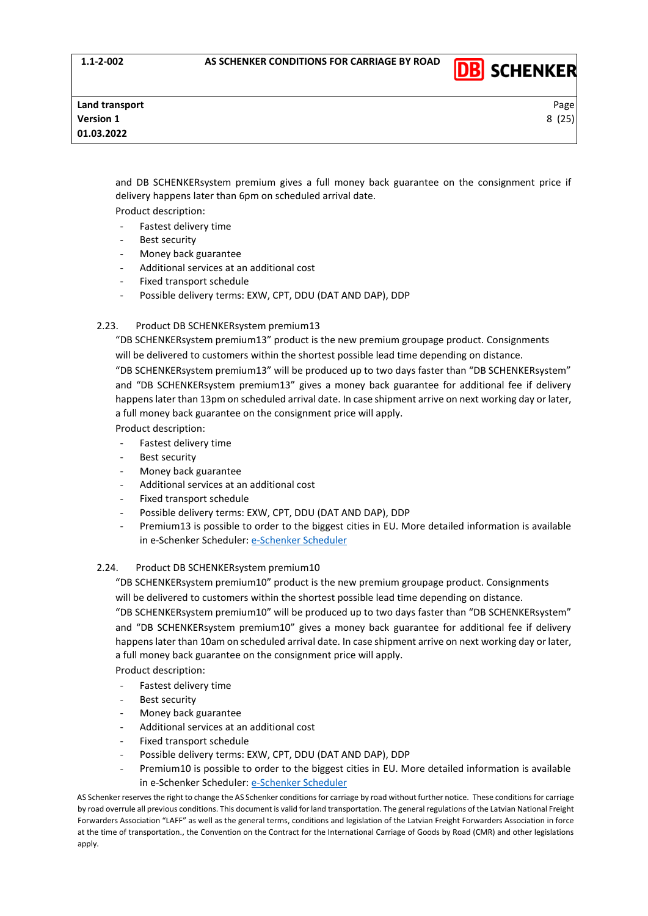

and DB SCHENKERsystem premium gives a full money back guarantee on the consignment price if delivery happens later than 6pm on scheduled arrival date. Product description:

Fastest delivery time

- Best security
- Money back guarantee
- Additional services at an additional cost
- Fixed transport schedule
- Possible delivery terms: EXW, CPT, DDU (DAT AND DAP), DDP

### 2.23. Product DB SCHENKERsystem premium13

"DB SCHENKERsystem premium13" product is the new premium groupage product. Consignments will be delivered to customers within the shortest possible lead time depending on distance.

"DB SCHENKERsystem premium13" will be produced up to two days faster than "DB SCHENKERsystem" and "DB SCHENKERsystem premium13" gives a money back guarantee for additional fee if delivery happens later than 13pm on scheduled arrival date. In case shipment arrive on next working day or later, a full money back guarantee on the consignment price will apply.

Product description:

- Fastest delivery time
- Best security
- Money back guarantee
- Additional services at an additional cost
- Fixed transport schedule
- Possible delivery terms: EXW, CPT, DDU (DAT AND DAP), DDP
- Premium13 is possible to order to the biggest cities in EU. More detailed information is available in [e-Schenker Scheduler](https://eschenker.dbschenker.com/nges-portal/public/en-US_EE/#!/scheduling/search-scheduling): e-Schenker Scheduler

### 2.24. Product DB SCHENKERsystem premium10

"DB SCHENKERsystem premium10" product is the new premium groupage product. Consignments will be delivered to customers within the shortest possible lead time depending on distance.

"DB SCHENKERsystem premium10" will be produced up to two days faster than "DB SCHENKERsystem" and "DB SCHENKERsystem premium10" gives a money back guarantee for additional fee if delivery happens later than 10am on scheduled arrival date. In case shipment arrive on next working day or later, a full money back guarantee on the consignment price will apply.

Product description:

- Fastest delivery time
- Best security
- Money back guarantee
- Additional services at an additional cost
- Fixed transport schedule
- Possible delivery terms: EXW, CPT, DDU (DAT AND DAP), DDP
- Premium10 is possible to order to the biggest cities in EU. More detailed information is available in [e-Schenker Scheduler](https://eschenker.dbschenker.com/nges-portal/public/en-US_EE/#!/scheduling/search-scheduling): e-Schenker Scheduler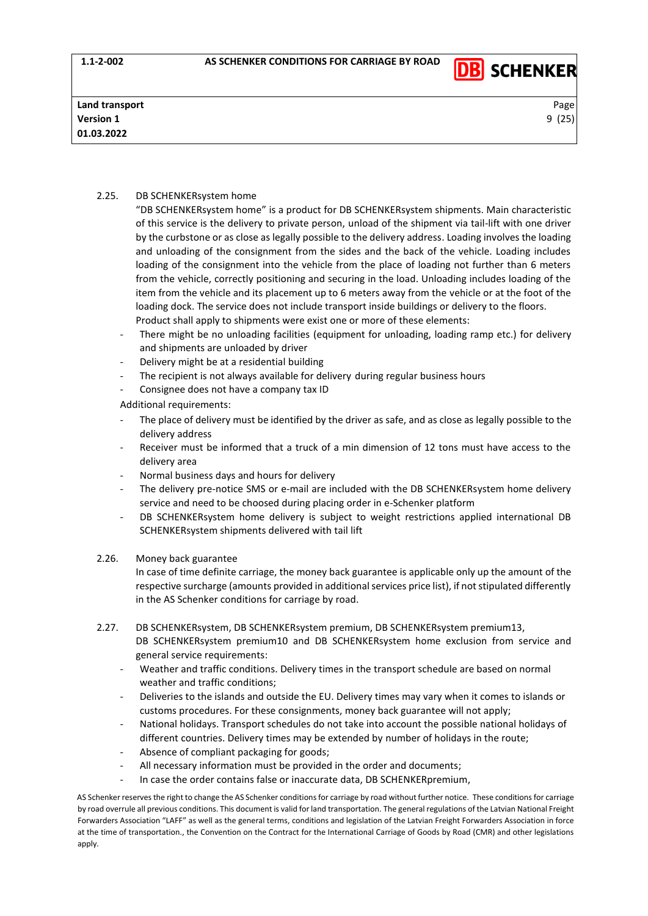

# 2.25. DB SCHENKERsystem home

- "DB SCHENKERsystem home" is a product for DB SCHENKERsystem shipments. Main characteristic of this service is the delivery to private person, unload of the shipment via tail-lift with one driver by the curbstone or as close as legally possible to the delivery address. Loading involves the loading and unloading of the consignment from the sides and the back of the vehicle. Loading includes loading of the consignment into the vehicle from the place of loading not further than 6 meters from the vehicle, correctly positioning and securing in the load. Unloading includes loading of the item from the vehicle and its placement up to 6 meters away from the vehicle or at the foot of the loading dock. The service does not include transport inside buildings or delivery to the floors. Product shall apply to shipments were exist one or more of these elements:
- There might be no unloading facilities (equipment for unloading, loading ramp etc.) for delivery and shipments are unloaded by driver
- Delivery might be at a residential building
- The recipient is not always available for delivery during regular business hours
- Consignee does not have a company tax ID

Additional requirements:

- The place of delivery must be identified by the driver as safe, and as close as legally possible to the delivery address
- Receiver must be informed that a truck of a min dimension of 12 tons must have access to the delivery area
- Normal business days and hours for delivery
- The delivery pre-notice SMS or e-mail are included with the DB SCHENKERsystem home delivery service and need to be choosed during placing order in e-Schenker platform
- DB SCHENKERsystem home delivery is subject to weight restrictions applied international DB SCHENKERsystem shipments delivered with tail lift

### 2.26. Money back guarantee

In case of time definite carriage, the money back guarantee is applicable only up the amount of the respective surcharge (amounts provided in additional services price list), if not stipulated differently in the AS Schenker conditions for carriage by road.

- 2.27. DB SCHENKERsystem, DB SCHENKERsystem premium, DB SCHENKERsystem premium13, DB SCHENKERsystem premium10 and DB SCHENKERsystem home exclusion from service and general service requirements:
	- Weather and traffic conditions. Delivery times in the transport schedule are based on normal weather and traffic conditions;
	- Deliveries to the islands and outside the EU. Delivery times may vary when it comes to islands or customs procedures. For these consignments, money back guarantee will not apply;
	- National holidays. Transport schedules do not take into account the possible national holidays of different countries. Delivery times may be extended by number of holidays in the route;
	- Absence of compliant packaging for goods;
	- All necessary information must be provided in the order and documents;
	- In case the order contains false or inaccurate data, DB SCHENKERpremium,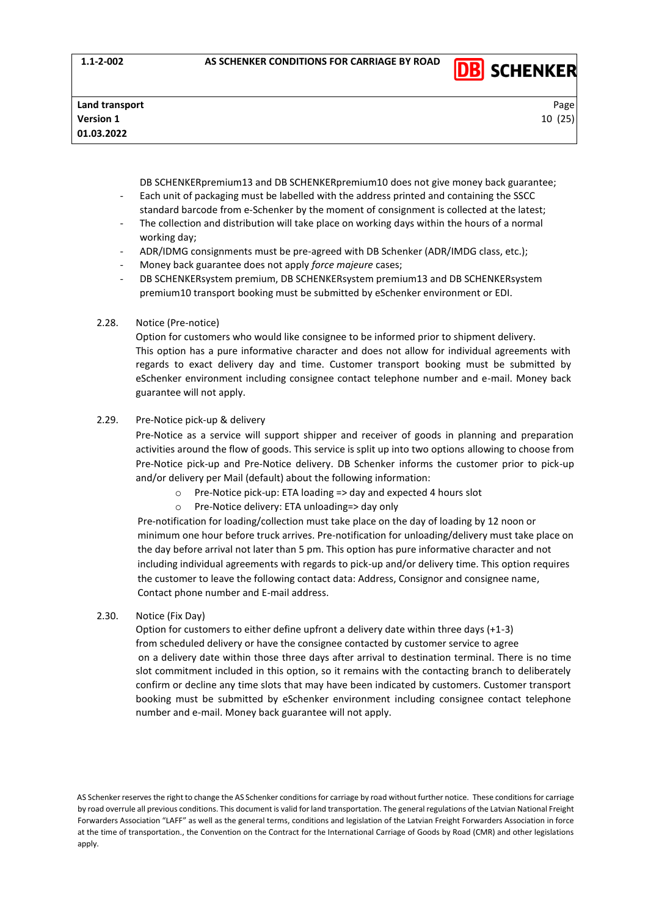

DB SCHENKERpremium13 and DB SCHENKERpremium10 does not give money back guarantee;

- Each unit of packaging must be labelled with the address printed and containing the SSCC standard barcode from e-Schenker by the moment of consignment is collected at the latest;
- The collection and distribution will take place on working days within the hours of a normal working day;
- ADR/IDMG consignments must be pre-agreed with DB Schenker (ADR/IMDG class, etc.);
- Money back guarantee does not apply *force majeure* cases;
- DB SCHENKERsystem premium, DB SCHENKERsystem premium13 and DB SCHENKERsystem premium10 transport booking must be submitted by eSchenker environment or EDI.

### 2.28. Notice (Pre-notice)

Option for customers who would like consignee to be informed prior to shipment delivery. This option has a pure informative character and does not allow for individual agreements with regards to exact delivery day and time. Customer transport booking must be submitted by eSchenker environment including consignee contact telephone number and e-mail. Money back guarantee will not apply.

### 2.29. Pre-Notice pick-up & delivery

Pre-Notice as a service will support shipper and receiver of goods in planning and preparation activities around the flow of goods. This service is split up into two options allowing to choose from Pre-Notice pick-up and Pre-Notice delivery. DB Schenker informs the customer prior to pick-up and/or delivery per Mail (default) about the following information:

- o Pre-Notice pick-up: ETA loading => day and expected 4 hours slot
	- o Pre-Notice delivery: ETA unloading=> day only

Pre-notification for loading/collection must take place on the day of loading by 12 noon or minimum one hour before truck arrives. Pre-notification for unloading/delivery must take place on the day before arrival not later than 5 pm. This option has pure informative character and not including individual agreements with regards to pick-up and/or delivery time. This option requires the customer to leave the following contact data: Address, Consignor and consignee name, Contact phone number and E-mail address.

2.30. Notice (Fix Day)

Option for customers to either define upfront a delivery date within three days (+1-3) from scheduled delivery or have the consignee contacted by customer service to agree on a delivery date within those three days after arrival to destination terminal. There is no time slot commitment included in this option, so it remains with the contacting branch to deliberately confirm or decline any time slots that may have been indicated by customers. Customer transport booking must be submitted by eSchenker environment including consignee contact telephone number and e-mail. Money back guarantee will not apply.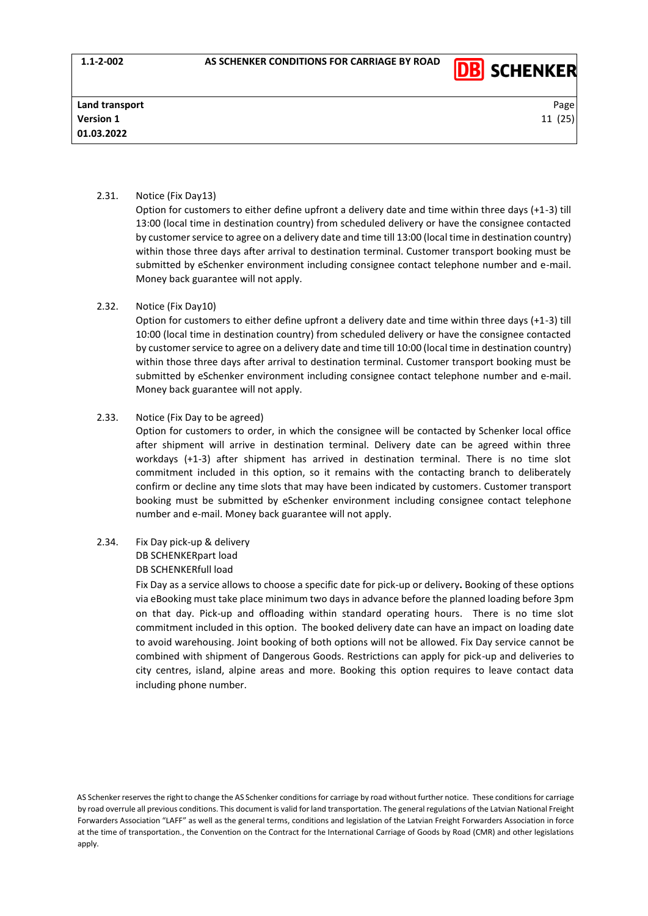

# 2.31. Notice (Fix Day13)

Option for customers to either define upfront a delivery date and time within three days (+1-3) till 13:00 (local time in destination country) from scheduled delivery or have the consignee contacted by customer service to agree on a delivery date and time till 13:00 (local time in destination country) within those three days after arrival to destination terminal. Customer transport booking must be submitted by eSchenker environment including consignee contact telephone number and e-mail. Money back guarantee will not apply.

# 2.32. Notice (Fix Day10)

Option for customers to either define upfront a delivery date and time within three days (+1-3) till 10:00 (local time in destination country) from scheduled delivery or have the consignee contacted by customer service to agree on a delivery date and time till 10:00 (local time in destination country) within those three days after arrival to destination terminal. Customer transport booking must be submitted by eSchenker environment including consignee contact telephone number and e-mail. Money back guarantee will not apply.

### 2.33. Notice (Fix Day to be agreed)

Option for customers to order, in which the consignee will be contacted by Schenker local office after shipment will arrive in destination terminal. Delivery date can be agreed within three workdays (+1-3) after shipment has arrived in destination terminal. There is no time slot commitment included in this option, so it remains with the contacting branch to deliberately confirm or decline any time slots that may have been indicated by customers. Customer transport booking must be submitted by eSchenker environment including consignee contact telephone number and e-mail. Money back guarantee will not apply.

2.34. Fix Day pick-up & delivery DB SCHENKERpart load

### DB SCHENKERfull load

Fix Day as a service allows to choose a specific date for pick-up or delivery**.** Booking of these options via eBooking must take place minimum two days in advance before the planned loading before 3pm on that day. Pick-up and offloading within standard operating hours. There is no time slot commitment included in this option. The booked delivery date can have an impact on loading date to avoid warehousing. Joint booking of both options will not be allowed. Fix Day service cannot be combined with shipment of Dangerous Goods. Restrictions can apply for pick-up and deliveries to city centres, island, alpine areas and more. Booking this option requires to leave contact data including phone number.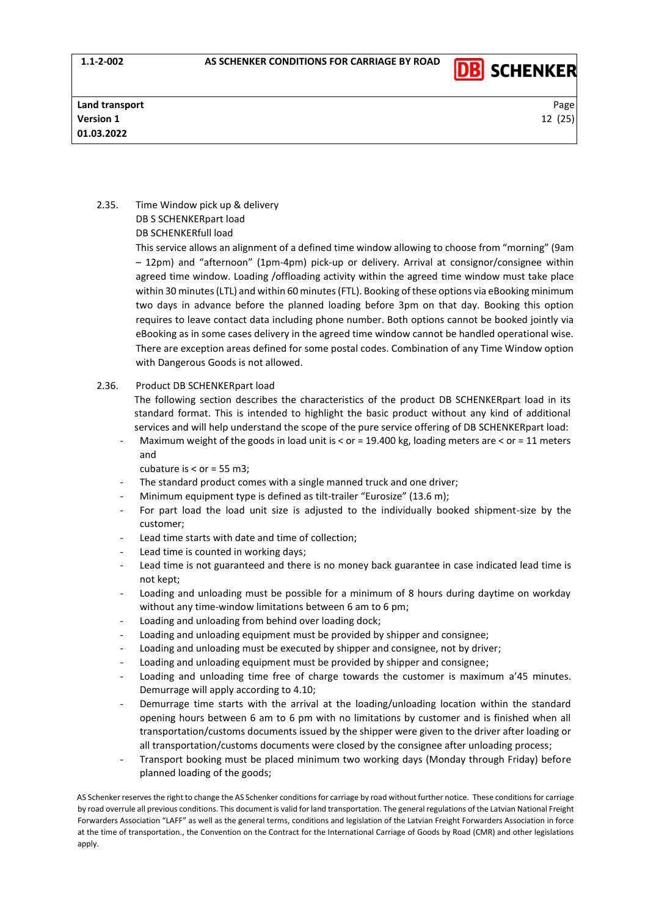

# 2.35. Time Window pick up & delivery DB S SCHENKERpart load DB SCHENKERfull load

This service allows an alignment of a defined time window allowing to choose from "morning" (9am – 12pm) and "afternoon" (1pm-4pm) pick-up or delivery. Arrival at consignor/consignee within agreed time window. Loading /offloading activity within the agreed time window must take place within 30 minutes (LTL) and within 60 minutes (FTL). Booking of these options via eBooking minimum two days in advance before the planned loading before 3pm on that day. Booking this option requires to leave contact data including phone number. Both options cannot be booked jointly via eBooking as in some cases delivery in the agreed time window cannot be handled operational wise. There are exception areas defined for some postal codes. Combination of any Time Window option with Dangerous Goods is not allowed.

2.36. Product DB SCHENKERpart load

The following section describes the characteristics of the product DB SCHENKERpart load in its standard format. This is intended to highlight the basic product without any kind of additional services and will help understand the scope of the pure service offering of DB SCHENKERpart load:

Maximum weight of the goods in load unit is < or = 19.400 kg, loading meters are < or = 11 meters and

cubature is < or = 55 m3;

- The standard product comes with a single manned truck and one driver;
- Minimum equipment type is defined as tilt-trailer "Eurosize" (13.6 m);
- For part load the load unit size is adjusted to the individually booked shipment-size by the customer;
- Lead time starts with date and time of collection;
- Lead time is counted in working days;
- Lead time is not guaranteed and there is no money back guarantee in case indicated lead time is not kept;
- Loading and unloading must be possible for a minimum of 8 hours during daytime on workday without any time-window limitations between 6 am to 6 pm;
- Loading and unloading from behind over loading dock;
- Loading and unloading equipment must be provided by shipper and consignee;
- Loading and unloading must be executed by shipper and consignee, not by driver;
- Loading and unloading equipment must be provided by shipper and consignee;
- Loading and unloading time free of charge towards the customer is maximum a'45 minutes. Demurrage will apply according to 4.10;
- Demurrage time starts with the arrival at the loading/unloading location within the standard opening hours between 6 am to 6 pm with no limitations by customer and is finished when all transportation/customs documents issued by the shipper were given to the driver after loading or all transportation/customs documents were closed by the consignee after unloading process;
- Transport booking must be placed minimum two working days (Monday through Friday) before planned loading of the goods;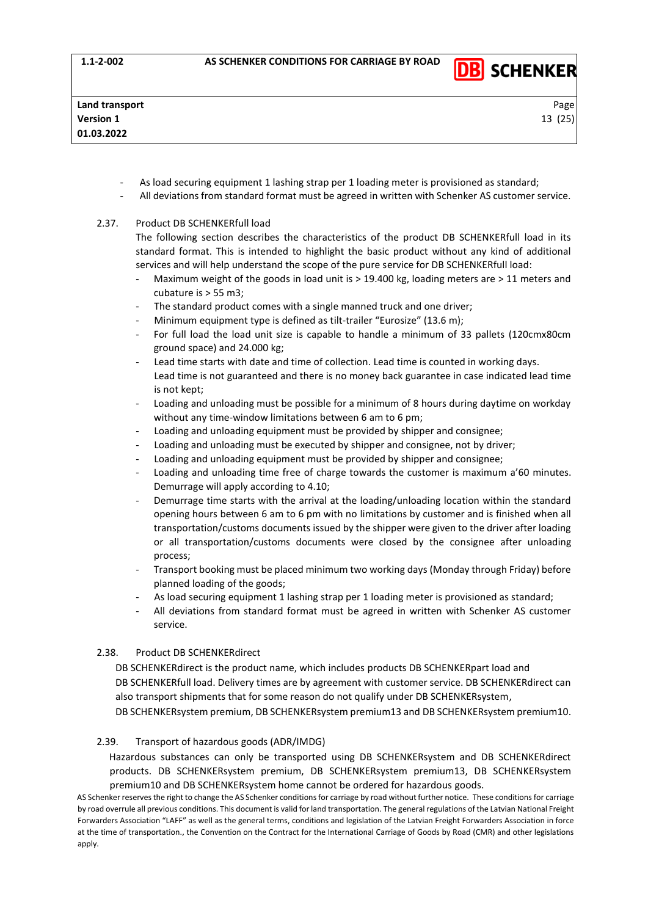

- As load securing equipment 1 lashing strap per 1 loading meter is provisioned as standard;
- All deviations from standard format must be agreed in written with Schenker AS customer service.

### 2.37. Product DB SCHENKERfull load

The following section describes the characteristics of the product DB SCHENKERfull load in its standard format. This is intended to highlight the basic product without any kind of additional services and will help understand the scope of the pure service for DB SCHENKERfull load:

- Maximum weight of the goods in load unit is > 19.400 kg, loading meters are > 11 meters and cubature is > 55 m3;
- The standard product comes with a single manned truck and one driver;
- Minimum equipment type is defined as tilt-trailer "Eurosize" (13.6 m);
- For full load the load unit size is capable to handle a minimum of 33 pallets (120cmx80cm ground space) and 24.000 kg;
- Lead time starts with date and time of collection. Lead time is counted in working days. Lead time is not guaranteed and there is no money back guarantee in case indicated lead time is not kept;
- Loading and unloading must be possible for a minimum of 8 hours during daytime on workday without any time-window limitations between 6 am to 6 pm;
- Loading and unloading equipment must be provided by shipper and consignee;
- Loading and unloading must be executed by shipper and consignee, not by driver;
- Loading and unloading equipment must be provided by shipper and consignee;
- Loading and unloading time free of charge towards the customer is maximum a'60 minutes. Demurrage will apply according to 4.10;
- Demurrage time starts with the arrival at the loading/unloading location within the standard opening hours between 6 am to 6 pm with no limitations by customer and is finished when all transportation/customs documents issued by the shipper were given to the driver after loading or all transportation/customs documents were closed by the consignee after unloading process;
- Transport booking must be placed minimum two working days (Monday through Friday) before planned loading of the goods;
- As load securing equipment 1 lashing strap per 1 loading meter is provisioned as standard;
- All deviations from standard format must be agreed in written with Schenker AS customer service.

# 2.38. Product DB SCHENKERdirect

DB SCHENKERdirect is the product name, which includes products DB SCHENKERpart load and DB SCHENKERfull load. Delivery times are by agreement with customer service. DB SCHENKERdirect can also transport shipments that for some reason do not qualify under DB SCHENKERsystem, DB SCHENKERsystem premium, DB SCHENKERsystem premium13 and DB SCHENKERsystem premium10.

### 2.39. Transport of hazardous goods (ADR/IMDG)

Hazardous substances can only be transported using DB SCHENKERsystem and DB SCHENKERdirect products. DB SCHENKERsystem premium, DB SCHENKERsystem premium13, DB SCHENKERsystem premium10 and DB SCHENKERsystem home cannot be ordered for hazardous goods.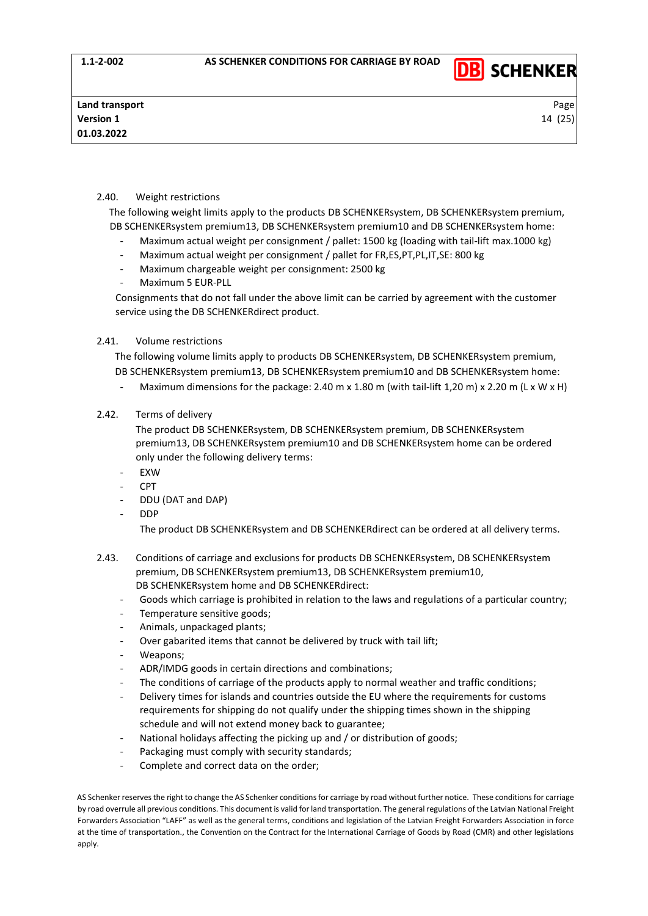

# 2.40. Weight restrictions

The following weight limits apply to the products DB SCHENKERsystem, DB SCHENKERsystem premium, DB SCHENKERsystem premium13, DB SCHENKERsystem premium10 and DB SCHENKERsystem home:

- Maximum actual weight per consignment / pallet: 1500 kg (loading with tail-lift max.1000 kg)
- Maximum actual weight per consignment / pallet for FR,ES,PT,PL,IT,SE: 800 kg
- Maximum chargeable weight per consignment: 2500 kg
- Maximum 5 EUR-PLL

Consignments that do not fall under the above limit can be carried by agreement with the customer service using the DB SCHENKERdirect product.

# 2.41. Volume restrictions

The following volume limits apply to products DB SCHENKERsystem, DB SCHENKERsystem premium, DB SCHENKERsystem premium13, DB SCHENKERsystem premium10 and DB SCHENKERsystem home:

- Maximum dimensions for the package: 2.40 m x 1.80 m (with tail-lift 1,20 m) x 2.20 m (L x W x H)
- 2.42. Terms of delivery

The product DB SCHENKERsystem, DB SCHENKERsystem premium, DB SCHENKERsystem premium13, DB SCHENKERsystem premium10 and DB SCHENKERsystem home can be ordered only under the following delivery terms:

- EXW
- $CPT$
- DDU (DAT and DAP)
- DDP

The product DB SCHENKERsystem and DB SCHENKERdirect can be ordered at all delivery terms.

- 2.43. Conditions of carriage and exclusions for products DB SCHENKERsystem, DB SCHENKERsystem premium, DB SCHENKERsystem premium13, DB SCHENKERsystem premium10, DB SCHENKERsystem home and DB SCHENKERdirect:
	- Goods which carriage is prohibited in relation to the laws and regulations of a particular country;
	- Temperature sensitive goods;
	- Animals, unpackaged plants;
	- Over gabarited items that cannot be delivered by truck with tail lift;
	- Weapons;
	- ADR/IMDG goods in certain directions and combinations;
	- The conditions of carriage of the products apply to normal weather and traffic conditions;
	- Delivery times for islands and countries outside the EU where the requirements for customs requirements for shipping do not qualify under the shipping times shown in the shipping schedule and will not extend money back to guarantee;
	- National holidays affecting the picking up and / or distribution of goods;
	- Packaging must comply with security standards;
	- Complete and correct data on the order;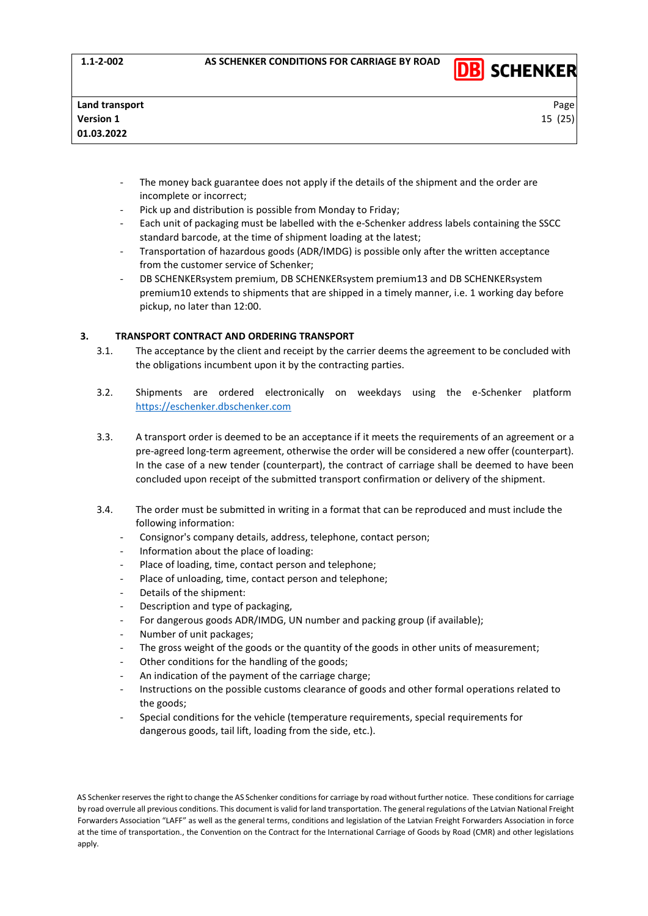

- The money back guarantee does not apply if the details of the shipment and the order are incomplete or incorrect;
- Pick up and distribution is possible from Monday to Friday;
- Each unit of packaging must be labelled with the e-Schenker address labels containing the SSCC standard barcode, at the time of shipment loading at the latest;
- Transportation of hazardous goods (ADR/IMDG) is possible only after the written acceptance from the customer service of Schenker;
- DB SCHENKERsystem premium, DB SCHENKERsystem premium13 and DB SCHENKERsystem premium10 extends to shipments that are shipped in a timely manner, i.e. 1 working day before pickup, no later than 12:00.

# <span id="page-14-0"></span>**3. TRANSPORT CONTRACT AND ORDERING TRANSPORT**

- 3.1. The acceptance by the client and receipt by the carrier deems the agreement to be concluded with the obligations incumbent upon it by the contracting parties.
- 3.2. Shipments are ordered electronically on weekdays using the e-Schenker platform [https://eschenker.dbschenker.com](https://eschenker.dbschenker.com/)
- 3.3. A transport order is deemed to be an acceptance if it meets the requirements of an agreement or a pre-agreed long-term agreement, otherwise the order will be considered a new offer (counterpart). In the case of a new tender (counterpart), the contract of carriage shall be deemed to have been concluded upon receipt of the submitted transport confirmation or delivery of the shipment.
- 3.4. The order must be submitted in writing in a format that can be reproduced and must include the following information:
	- Consignor's company details, address, telephone, contact person;
	- Information about the place of loading:
	- Place of loading, time, contact person and telephone;
	- Place of unloading, time, contact person and telephone;
	- Details of the shipment:
	- Description and type of packaging,
	- For dangerous goods ADR/IMDG, UN number and packing group (if available);
	- Number of unit packages;
	- The gross weight of the goods or the quantity of the goods in other units of measurement;
	- Other conditions for the handling of the goods;
	- An indication of the payment of the carriage charge;
	- Instructions on the possible customs clearance of goods and other formal operations related to the goods;
	- Special conditions for the vehicle (temperature requirements, special requirements for dangerous goods, tail lift, loading from the side, etc.).

AS Schenker reserves the right to change the AS Schenker conditions for carriage by road without further notice. These conditions for carriage by road overrule all previous conditions. This document is valid for land transportation. The general regulations of the Latvian National Freight Forwarders Association "LAFF" as well as the general terms, conditions and legislation of the Latvian Freight Forwarders Association in force at the time of transportation., the Convention on the Contract for the International Carriage of Goods by Road (CMR) and other legislations apply.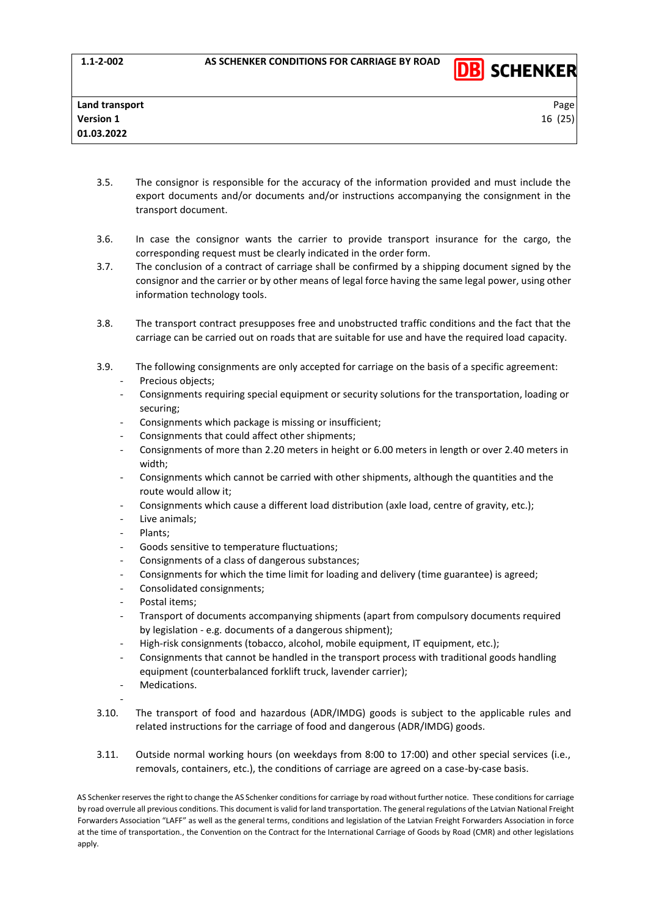

- 3.5. The consignor is responsible for the accuracy of the information provided and must include the export documents and/or documents and/or instructions accompanying the consignment in the transport document.
- 3.6. In case the consignor wants the carrier to provide transport insurance for the cargo, the corresponding request must be clearly indicated in the order form.
- 3.7. The conclusion of a contract of carriage shall be confirmed by a shipping document signed by the consignor and the carrier or by other means of legal force having the same legal power, using other information technology tools.
- 3.8. The transport contract presupposes free and unobstructed traffic conditions and the fact that the carriage can be carried out on roads that are suitable for use and have the required load capacity.
- 3.9. The following consignments are only accepted for carriage on the basis of a specific agreement:
	- Precious objects;
	- Consignments requiring special equipment or security solutions for the transportation, loading or securing;
	- Consignments which package is missing or insufficient;
	- Consignments that could affect other shipments;
	- Consignments of more than 2.20 meters in height or 6.00 meters in length or over 2.40 meters in width;
	- Consignments which cannot be carried with other shipments, although the quantities and the route would allow it;
	- Consignments which cause a different load distribution (axle load, centre of gravity, etc.);
	- Live animals;
	- Plants;
	- Goods sensitive to temperature fluctuations;
	- Consignments of a class of dangerous substances;
	- Consignments for which the time limit for loading and delivery (time guarantee) is agreed;
	- Consolidated consignments;
	- Postal items:
	- Transport of documents accompanying shipments (apart from compulsory documents required by legislation - e.g. documents of a dangerous shipment);
	- High-risk consignments (tobacco, alcohol, mobile equipment, IT equipment, etc.);
	- Consignments that cannot be handled in the transport process with traditional goods handling equipment (counterbalanced forklift truck, lavender carrier);
	- Medications.

-

- 3.10. The transport of food and hazardous (ADR/IMDG) goods is subject to the applicable rules and related instructions for the carriage of food and dangerous (ADR/IMDG) goods.
- 3.11. Outside normal working hours (on weekdays from 8:00 to 17:00) and other special services (i.e., removals, containers, etc.), the conditions of carriage are agreed on a case-by-case basis.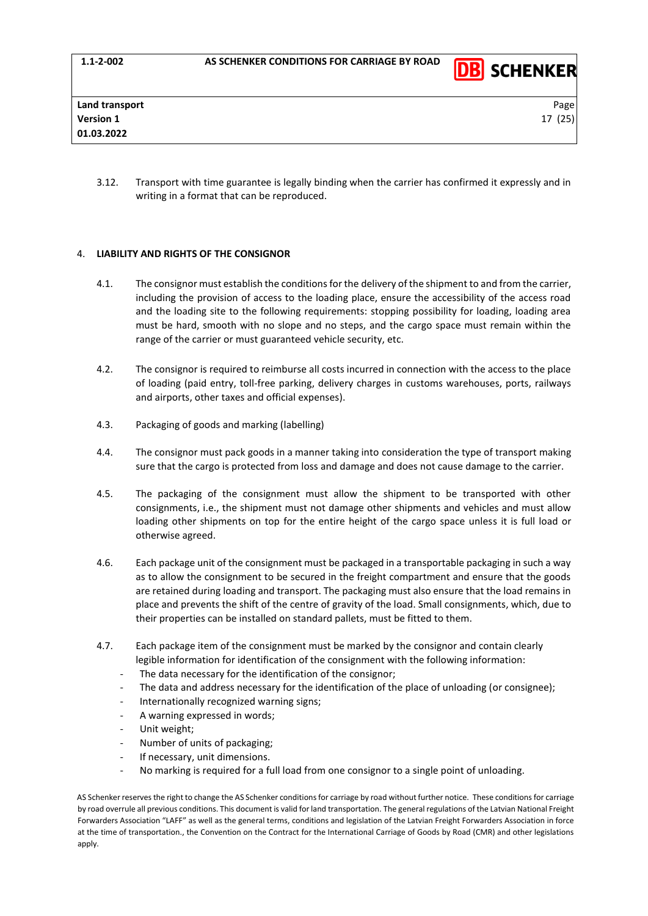

3.12. Transport with time guarantee is legally binding when the carrier has confirmed it expressly and in writing in a format that can be reproduced.

# <span id="page-16-0"></span>4. **LIABILITY AND RIGHTS OF THE CONSIGNOR**

- 4.1. The consignor must establish the conditions for the delivery of the shipment to and from the carrier, including the provision of access to the loading place, ensure the accessibility of the access road and the loading site to the following requirements: stopping possibility for loading, loading area must be hard, smooth with no slope and no steps, and the cargo space must remain within the range of the carrier or must guaranteed vehicle security, etc.
- 4.2. The consignor is required to reimburse all costs incurred in connection with the access to the place of loading (paid entry, toll-free parking, delivery charges in customs warehouses, ports, railways and airports, other taxes and official expenses).
- 4.3. Packaging of goods and marking (labelling)
- 4.4. The consignor must pack goods in a manner taking into consideration the type of transport making sure that the cargo is protected from loss and damage and does not cause damage to the carrier.
- 4.5. The packaging of the consignment must allow the shipment to be transported with other consignments, i.e., the shipment must not damage other shipments and vehicles and must allow loading other shipments on top for the entire height of the cargo space unless it is full load or otherwise agreed.
- 4.6. Each package unit of the consignment must be packaged in a transportable packaging in such a way as to allow the consignment to be secured in the freight compartment and ensure that the goods are retained during loading and transport. The packaging must also ensure that the load remains in place and prevents the shift of the centre of gravity of the load. Small consignments, which, due to their properties can be installed on standard pallets, must be fitted to them.
- 4.7. Each package item of the consignment must be marked by the consignor and contain clearly legible information for identification of the consignment with the following information:
	- The data necessary for the identification of the consignor;
	- The data and address necessary for the identification of the place of unloading (or consignee);
	- Internationally recognized warning signs;
	- A warning expressed in words;
	- Unit weight;
	- Number of units of packaging;
	- If necessary, unit dimensions.
	- No marking is required for a full load from one consignor to a single point of unloading.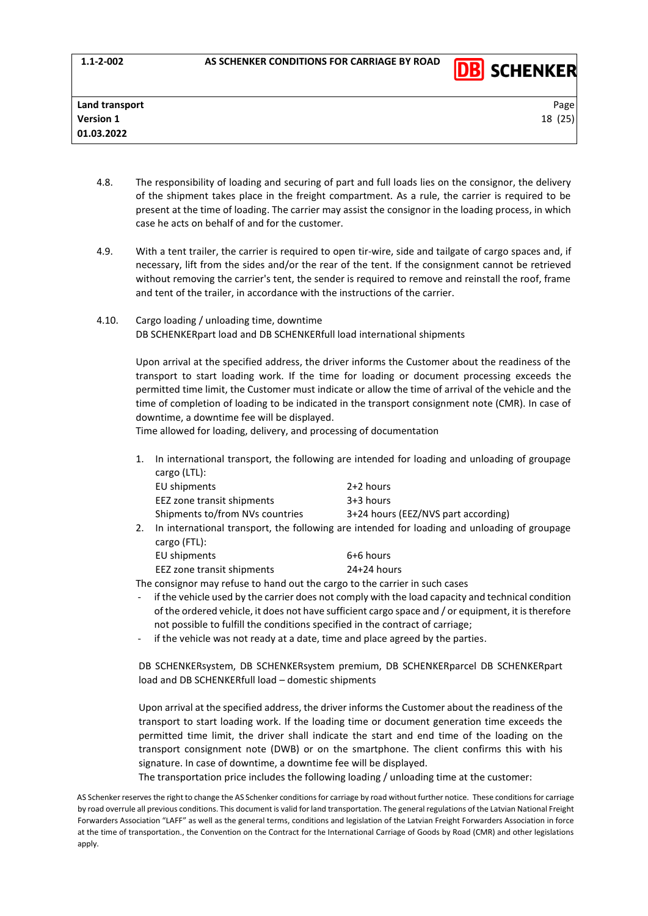

- 4.8. The responsibility of loading and securing of part and full loads lies on the consignor, the delivery of the shipment takes place in the freight compartment. As a rule, the carrier is required to be present at the time of loading. The carrier may assist the consignor in the loading process, in which case he acts on behalf of and for the customer.
- 4.9. With a tent trailer, the carrier is required to open tir-wire, side and tailgate of cargo spaces and, if necessary, lift from the sides and/or the rear of the tent. If the consignment cannot be retrieved without removing the carrier's tent, the sender is required to remove and reinstall the roof, frame and tent of the trailer, in accordance with the instructions of the carrier.
- 4.10. Cargo loading / unloading time, downtime DB SCHENKERpart load and DB SCHENKERfull load international shipments

Upon arrival at the specified address, the driver informs the Customer about the readiness of the transport to start loading work. If the time for loading or document processing exceeds the permitted time limit, the Customer must indicate or allow the time of arrival of the vehicle and the time of completion of loading to be indicated in the transport consignment note (CMR). In case of downtime, a downtime fee will be displayed.

Time allowed for loading, delivery, and processing of documentation

1. In international transport, the following are intended for loading and unloading of groupage cargo (LTL):

|    | EU shipments                                                                                                 | 2+2 hours                           |  |
|----|--------------------------------------------------------------------------------------------------------------|-------------------------------------|--|
|    | EEZ zone transit shipments                                                                                   | 3+3 hours                           |  |
|    | Shipments to/from NVs countries                                                                              | 3+24 hours (EEZ/NVS part according) |  |
| 2. | In international transport, the following are intended for loading and unloading of groupage<br>cargo (FTL): |                                     |  |
|    | EU shipments                                                                                                 | 6+6 hours                           |  |

EEZ zone transit shipments 24+24 hours

The consignor may refuse to hand out the cargo to the carrier in such cases

- if the vehicle used by the carrier does not comply with the load capacity and technical condition of the ordered vehicle, it does not have sufficient cargo space and / or equipment, it is therefore not possible to fulfill the conditions specified in the contract of carriage;
- if the vehicle was not ready at a date, time and place agreed by the parties.

DB SCHENKERsystem, DB SCHENKERsystem premium, DB SCHENKERparcel DB SCHENKERpart load and DB SCHENKERfull load – domestic shipments

Upon arrival at the specified address, the driver informs the Customer about the readiness of the transport to start loading work. If the loading time or document generation time exceeds the permitted time limit, the driver shall indicate the start and end time of the loading on the transport consignment note (DWB) or on the smartphone. The client confirms this with his signature. In case of downtime, a downtime fee will be displayed.

The transportation price includes the following loading / unloading time at the customer:

AS Schenker reserves the right to change the AS Schenker conditions for carriage by road without further notice. These conditions for carriage by road overrule all previous conditions. This document is valid for land transportation. The general regulations of the Latvian National Freight Forwarders Association "LAFF" as well as the general terms, conditions and legislation of the Latvian Freight Forwarders Association in force at the time of transportation., the Convention on the Contract for the International Carriage of Goods by Road (CMR) and other legislations apply.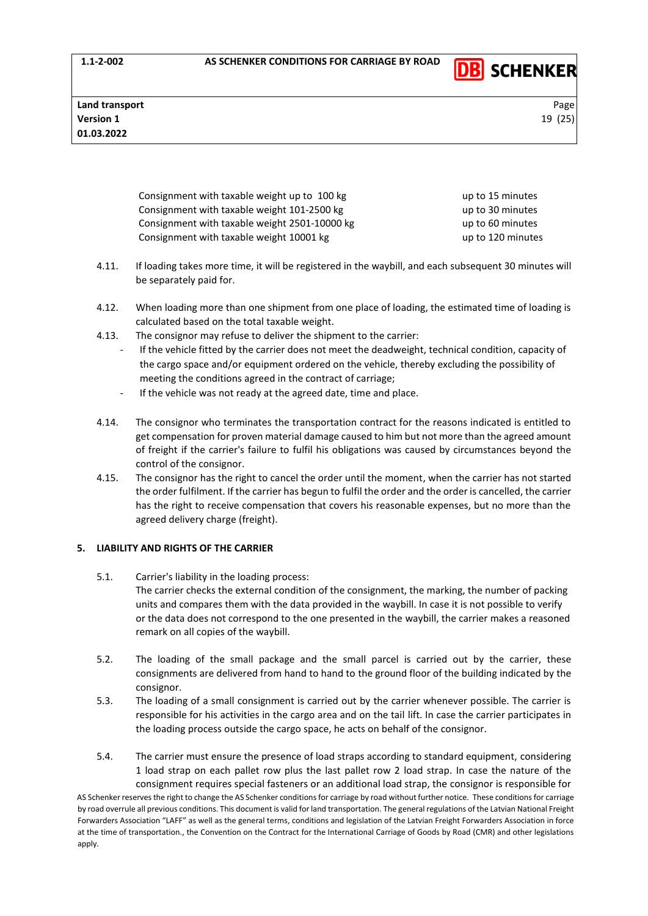**Land transport** Page **Page 2012 Page 2013 Page 2013 Page 2013 Page 2013 Page 2013 Page 2013 Page 2013 Version 1** 19 (25) **01.03.2022**

> Consignment with taxable weight up to 100 kg up to 15 minutes Consignment with taxable weight 101-2500 kg up to 30 minutes Consignment with taxable weight 2501-10000 kg up to 60 minutes Consignment with taxable weight 10001 kg up to 120 minutes

**DB** SCHENKER

- 4.11. If loading takes more time, it will be registered in the waybill, and each subsequent 30 minutes will be separately paid for.
- 4.12. When loading more than one shipment from one place of loading, the estimated time of loading is calculated based on the total taxable weight.
- 4.13. The consignor may refuse to deliver the shipment to the carrier:
	- If the vehicle fitted by the carrier does not meet the deadweight, technical condition, capacity of the cargo space and/or equipment ordered on the vehicle, thereby excluding the possibility of meeting the conditions agreed in the contract of carriage;
		- If the vehicle was not ready at the agreed date, time and place.
- 4.14. The consignor who terminates the transportation contract for the reasons indicated is entitled to get compensation for proven material damage caused to him but not more than the agreed amount of freight if the carrier's failure to fulfil his obligations was caused by circumstances beyond the control of the consignor.
- 4.15. The consignor has the right to cancel the order until the moment, when the carrier has not started the order fulfilment. If the carrier has begun to fulfil the order and the order is cancelled, the carrier has the right to receive compensation that covers his reasonable expenses, but no more than the agreed delivery charge (freight).

# <span id="page-18-0"></span>**5. LIABILITY AND RIGHTS OF THE CARRIER**

- 5.1. Carrier's liability in the loading process: The carrier checks the external condition of the consignment, the marking, the number of packing units and compares them with the data provided in the waybill. In case it is not possible to verify or the data does not correspond to the one presented in the waybill, the carrier makes a reasoned remark on all copies of the waybill.
- 5.2. The loading of the small package and the small parcel is carried out by the carrier, these consignments are delivered from hand to hand to the ground floor of the building indicated by the consignor.
- 5.3. The loading of a small consignment is carried out by the carrier whenever possible. The carrier is responsible for his activities in the cargo area and on the tail lift. In case the carrier participates in the loading process outside the cargo space, he acts on behalf of the consignor.
- AS Schenker reserves the right to change the AS Schenker conditions for carriage by road without further notice. These conditions for carriage 5.4. The carrier must ensure the presence of load straps according to standard equipment, considering 1 load strap on each pallet row plus the last pallet row 2 load strap. In case the nature of the consignment requires special fasteners or an additional load strap, the consignor is responsible for

by road overrule all previous conditions. This document is valid for land transportation. The general regulations of the Latvian National Freight Forwarders Association "LAFF" as well as the general terms, conditions and legislation of the Latvian Freight Forwarders Association in force at the time of transportation., the Convention on the Contract for the International Carriage of Goods by Road (CMR) and other legislations apply.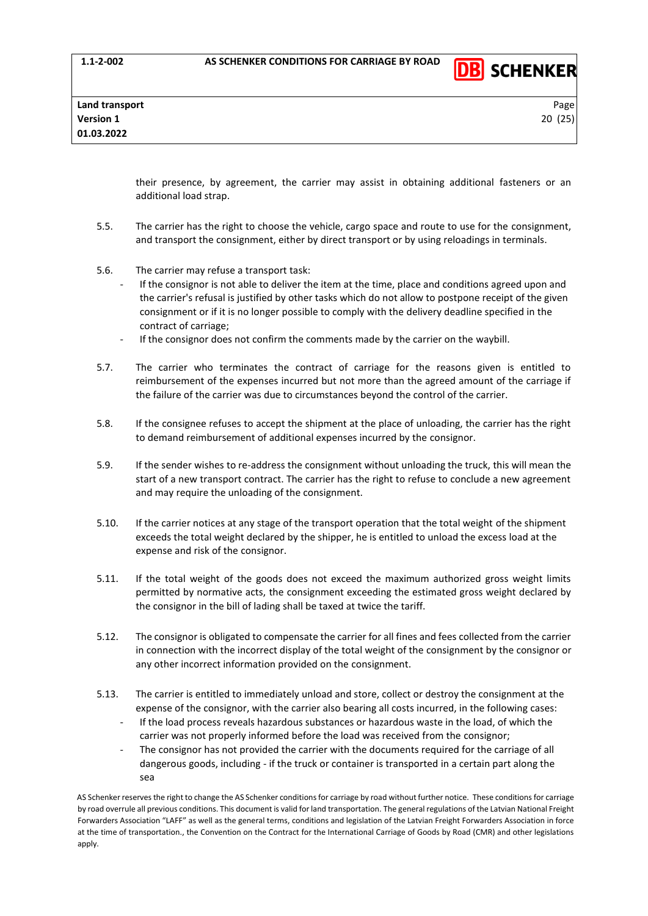

their presence, by agreement, the carrier may assist in obtaining additional fasteners or an additional load strap.

- 5.5. The carrier has the right to choose the vehicle, cargo space and route to use for the consignment, and transport the consignment, either by direct transport or by using reloadings in terminals.
- 5.6. The carrier may refuse a transport task:
	- If the consignor is not able to deliver the item at the time, place and conditions agreed upon and the carrier's refusal is justified by other tasks which do not allow to postpone receipt of the given consignment or if it is no longer possible to comply with the delivery deadline specified in the contract of carriage;
	- If the consignor does not confirm the comments made by the carrier on the waybill.
- 5.7. The carrier who terminates the contract of carriage for the reasons given is entitled to reimbursement of the expenses incurred but not more than the agreed amount of the carriage if the failure of the carrier was due to circumstances beyond the control of the carrier.
- 5.8. If the consignee refuses to accept the shipment at the place of unloading, the carrier has the right to demand reimbursement of additional expenses incurred by the consignor.
- 5.9. If the sender wishes to re-address the consignment without unloading the truck, this will mean the start of a new transport contract. The carrier has the right to refuse to conclude a new agreement and may require the unloading of the consignment.
- 5.10. If the carrier notices at any stage of the transport operation that the total weight of the shipment exceeds the total weight declared by the shipper, he is entitled to unload the excess load at the expense and risk of the consignor.
- 5.11. If the total weight of the goods does not exceed the maximum authorized gross weight limits permitted by normative acts, the consignment exceeding the estimated gross weight declared by the consignor in the bill of lading shall be taxed at twice the tariff.
- 5.12. The consignor is obligated to compensate the carrier for all fines and fees collected from the carrier in connection with the incorrect display of the total weight of the consignment by the consignor or any other incorrect information provided on the consignment.
- 5.13. The carrier is entitled to immediately unload and store, collect or destroy the consignment at the expense of the consignor, with the carrier also bearing all costs incurred, in the following cases:
	- If the load process reveals hazardous substances or hazardous waste in the load, of which the carrier was not properly informed before the load was received from the consignor;
	- The consignor has not provided the carrier with the documents required for the carriage of all dangerous goods, including - if the truck or container is transported in a certain part along the sea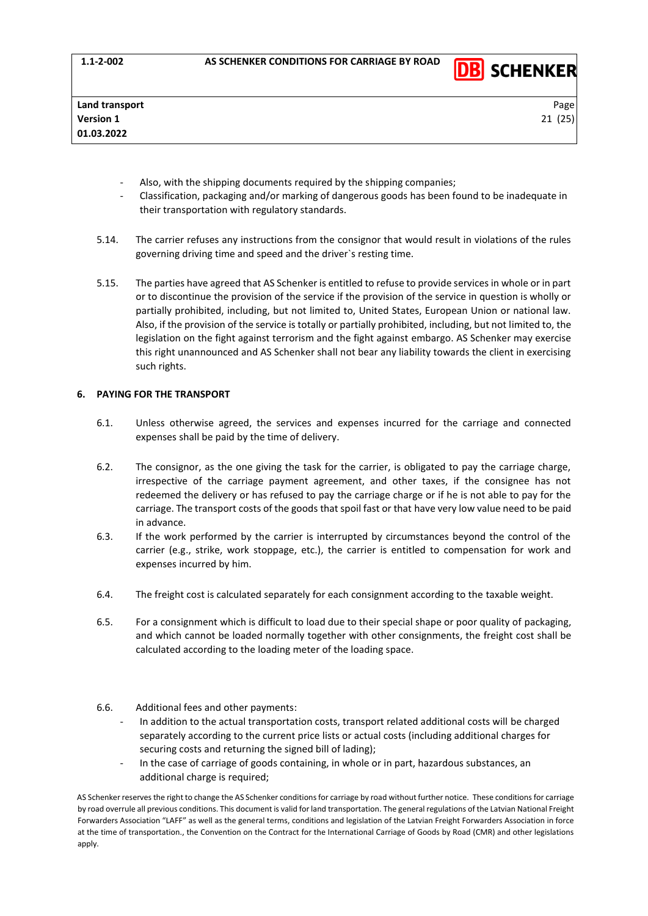

- Also, with the shipping documents required by the shipping companies;
- Classification, packaging and/or marking of dangerous goods has been found to be inadequate in their transportation with regulatory standards.
- 5.14. The carrier refuses any instructions from the consignor that would result in violations of the rules governing driving time and speed and the driver`s resting time.
- 5.15. The parties have agreed that AS Schenker is entitled to refuse to provide services in whole or in part or to discontinue the provision of the service if the provision of the service in question is wholly or partially prohibited, including, but not limited to, United States, European Union or national law. Also, if the provision of the service is totally or partially prohibited, including, but not limited to, the legislation on the fight against terrorism and the fight against embargo. AS Schenker may exercise this right unannounced and AS Schenker shall not bear any liability towards the client in exercising such rights.

# <span id="page-20-0"></span>**6. PAYING FOR THE TRANSPORT**

- 6.1. Unless otherwise agreed, the services and expenses incurred for the carriage and connected expenses shall be paid by the time of delivery.
- 6.2. The consignor, as the one giving the task for the carrier, is obligated to pay the carriage charge, irrespective of the carriage payment agreement, and other taxes, if the consignee has not redeemed the delivery or has refused to pay the carriage charge or if he is not able to pay for the carriage. The transport costs of the goods that spoil fast or that have very low value need to be paid in advance.
- 6.3. If the work performed by the carrier is interrupted by circumstances beyond the control of the carrier (e.g., strike, work stoppage, etc.), the carrier is entitled to compensation for work and expenses incurred by him.
- 6.4. The freight cost is calculated separately for each consignment according to the taxable weight.
- 6.5. For a consignment which is difficult to load due to their special shape or poor quality of packaging, and which cannot be loaded normally together with other consignments, the freight cost shall be calculated according to the loading meter of the loading space.
- 6.6. Additional fees and other payments:
	- In addition to the actual transportation costs, transport related additional costs will be charged separately according to the current price lists or actual costs (including additional charges for securing costs and returning the signed bill of lading);
	- In the case of carriage of goods containing, in whole or in part, hazardous substances, an additional charge is required;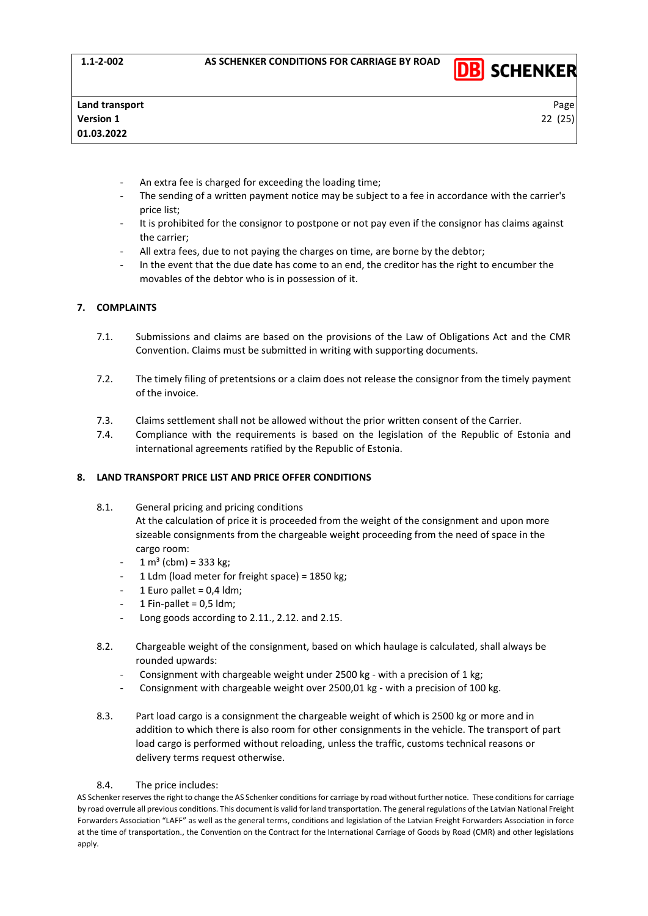

- An extra fee is charged for exceeding the loading time;
- The sending of a written payment notice may be subject to a fee in accordance with the carrier's price list;
- It is prohibited for the consignor to postpone or not pay even if the consignor has claims against the carrier;
- All extra fees, due to not paying the charges on time, are borne by the debtor;
- In the event that the due date has come to an end, the creditor has the right to encumber the movables of the debtor who is in possession of it.

# <span id="page-21-0"></span>**7. COMPLAINTS**

- 7.1. Submissions and claims are based on the provisions of the Law of Obligations Act and the CMR Convention. Claims must be submitted in writing with supporting documents.
- 7.2. The timely filing of pretentsions or a claim does not release the consignor from the timely payment of the invoice.
- 7.3. Claims settlement shall not be allowed without the prior written consent of the Carrier.
- 7.4. Compliance with the requirements is based on the legislation of the Republic of Estonia and international agreements ratified by the Republic of Estonia.

# <span id="page-21-1"></span>**8. LAND TRANSPORT PRICE LIST AND PRICE OFFER CONDITIONS**

- 8.1. General pricing and pricing conditions At the calculation of price it is proceeded from the weight of the consignment and upon more sizeable consignments from the chargeable weight proceeding from the need of space in the cargo room:
	- $1 m<sup>3</sup>$  (cbm) = 333 kg;
	- 1 Ldm (load meter for freight space) = 1850 kg;
	- 1 Euro pallet =  $0,4$  ldm;
	- 1 Fin-pallet =  $0.5$  ldm;
	- Long goods according to 2.11., 2.12. and 2.15.
- 8.2. Chargeable weight of the consignment, based on which haulage is calculated, shall always be rounded upwards:
	- Consignment with chargeable weight under 2500 kg with a precision of 1 kg;
	- Consignment with chargeable weight over 2500,01 kg with a precision of 100 kg.
- 8.3. Part load cargo is a consignment the chargeable weight of which is 2500 kg or more and in addition to which there is also room for other consignments in the vehicle. The transport of part load cargo is performed without reloading, unless the traffic, customs technical reasons or delivery terms request otherwise.

# 8.4. The price includes: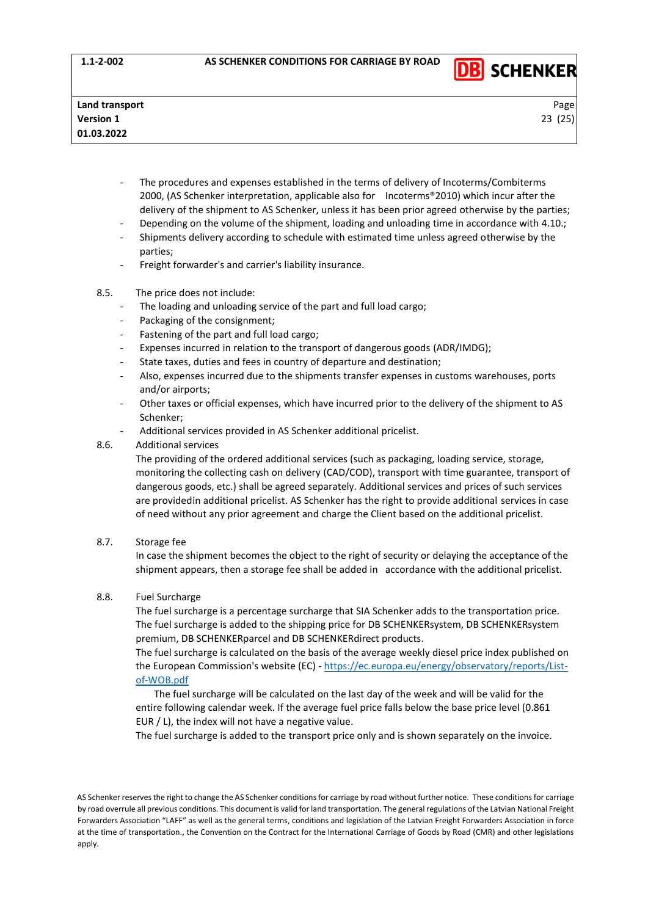

- The procedures and expenses established in the terms of delivery of Incoterms/Combiterms 2000, (AS Schenker interpretation, applicable also for Incoterms®2010) which incur after the delivery of the shipment to AS Schenker, unless it has been prior agreed otherwise by the parties;
- Depending on the volume of the shipment, loading and unloading time in accordance with 4.10.; Shipments delivery according to schedule with estimated time unless agreed otherwise by the parties;
- Freight forwarder's and carrier's liability insurance.
- 8.5. The price does not include:
	- The loading and unloading service of the part and full load cargo;
	- Packaging of the consignment;
	- Fastening of the part and full load cargo;
	- Expenses incurred in relation to the transport of dangerous goods (ADR/IMDG);
	- State taxes, duties and fees in country of departure and destination;
	- Also, expenses incurred due to the shipments transfer expenses in customs warehouses, ports and/or airports;
	- Other taxes or official expenses, which have incurred prior to the delivery of the shipment to AS Schenker;
	- Additional services provided in AS Schenker additional pricelist.
- 8.6. Additional services

The providing of the ordered additional services (such as packaging, loading service, storage, monitoring the collecting cash on delivery (CAD/COD), transport with time guarantee, transport of dangerous goods, etc.) shall be agreed separately. Additional services and prices of such services are providedin additional pricelist. AS Schenker has the right to provide additional services in case of need without any prior agreement and charge the Client based on the additional pricelist.

8.7. Storage fee

In case the shipment becomes the object to the right of security or delaying the acceptance of the shipment appears, then a storage fee shall be added in accordance with the additional pricelist.

8.8. Fuel Surcharge

The fuel surcharge is a percentage surcharge that SIA Schenker adds to the transportation price. The fuel surcharge is added to the shipping price for DB SCHENKERsystem, DB SCHENKERsystem premium, DB SCHENKERparcel and DB SCHENKERdirect products.

The fuel surcharge is calculated on the basis of the average weekly diesel price index published on the European Commission's website (EC) - [https://ec.europa.eu/energy/observatory/reports/List](https://ec.europa.eu/energy/observatory/reports/List-of-WOB.pdf)[of-WOB.pdf](https://ec.europa.eu/energy/observatory/reports/List-of-WOB.pdf)

The fuel surcharge will be calculated on the last day of the week and will be valid for the entire following calendar week. If the average fuel price falls below the base price level (0.861 EUR / L), the index will not have a negative value.

The fuel surcharge is added to the transport price only and is shown separately on the invoice.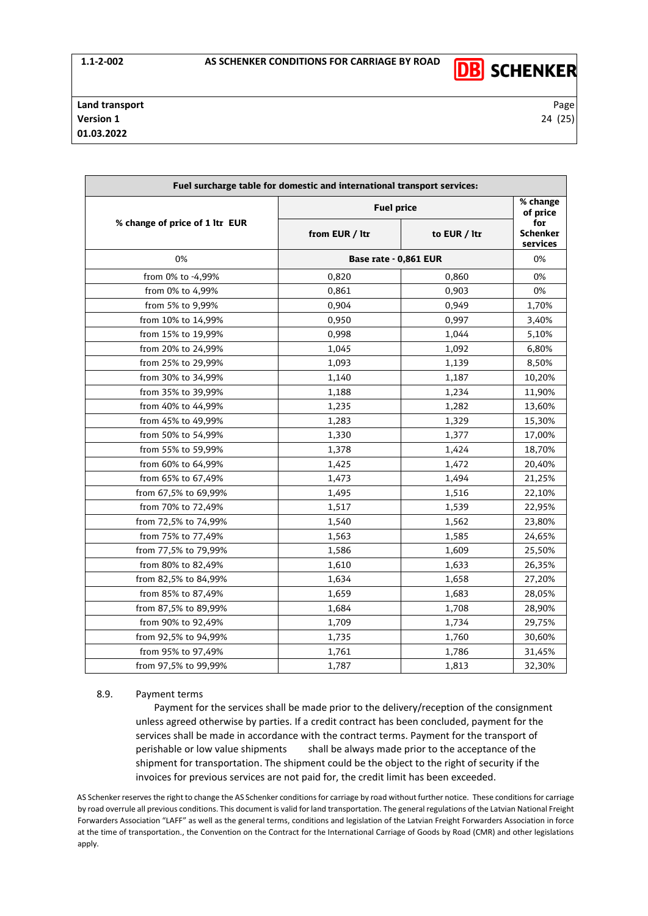

| Fuel surcharge table for domestic and international transport services: |                       |                      |                                    |  |  |  |
|-------------------------------------------------------------------------|-----------------------|----------------------|------------------------------------|--|--|--|
| % change of price of 1 ltr EUR                                          | <b>Fuel price</b>     | % change<br>of price |                                    |  |  |  |
|                                                                         | from EUR / Itr        | to EUR / Itr         | for<br><b>Schenker</b><br>services |  |  |  |
| 0%                                                                      | Base rate - 0,861 EUR |                      | 0%                                 |  |  |  |
| from 0% to -4,99%                                                       | 0,820                 | 0,860                | 0%                                 |  |  |  |
| from 0% to 4,99%                                                        | 0,861                 | 0,903                | 0%                                 |  |  |  |
| from 5% to 9,99%                                                        | 0,904                 | 0,949                | 1,70%                              |  |  |  |
| from 10% to 14,99%                                                      | 0,950                 | 0,997                | 3,40%                              |  |  |  |
| from 15% to 19,99%                                                      | 0,998                 | 1,044                | 5,10%                              |  |  |  |
| from 20% to 24,99%                                                      | 1,045                 | 1,092                | 6,80%                              |  |  |  |
| from 25% to 29,99%                                                      | 1,093                 | 1,139                | 8,50%                              |  |  |  |
| from 30% to 34,99%                                                      | 1,140                 | 1,187                | 10,20%                             |  |  |  |
| from 35% to 39,99%                                                      | 1,188                 | 1,234                | 11,90%                             |  |  |  |
| from 40% to 44,99%                                                      | 1,235                 | 1,282                | 13,60%                             |  |  |  |
| from 45% to 49,99%                                                      | 1,283                 | 1,329                | 15,30%                             |  |  |  |
| from 50% to 54,99%                                                      | 1,330                 | 1,377                | 17,00%                             |  |  |  |
| from 55% to 59,99%                                                      | 1,378                 | 1,424                | 18,70%                             |  |  |  |
| from 60% to 64,99%                                                      | 1,425                 | 1,472                | 20,40%                             |  |  |  |
| from 65% to 67,49%                                                      | 1,473                 | 1,494                | 21,25%                             |  |  |  |
| from 67,5% to 69,99%                                                    | 1,495                 | 1,516                | 22,10%                             |  |  |  |
| from 70% to 72,49%                                                      | 1,517                 | 1,539                | 22,95%                             |  |  |  |
| from 72,5% to 74,99%                                                    | 1,540                 | 1,562                | 23,80%                             |  |  |  |
| from 75% to 77,49%                                                      | 1,563                 | 1,585                | 24,65%                             |  |  |  |
| from 77,5% to 79,99%                                                    | 1,586                 | 1,609                | 25,50%                             |  |  |  |
| from 80% to 82,49%                                                      | 1,610                 | 1,633                | 26,35%                             |  |  |  |
| from 82,5% to 84,99%                                                    | 1,634                 | 1,658                | 27,20%                             |  |  |  |
| from 85% to 87,49%                                                      | 1,659                 | 1,683                | 28,05%                             |  |  |  |
| from 87,5% to 89,99%                                                    | 1,684                 | 1,708                | 28,90%                             |  |  |  |
| from 90% to 92,49%                                                      | 1,709                 | 1,734                | 29,75%                             |  |  |  |
| from 92,5% to 94,99%                                                    | 1,735                 | 1,760                | 30,60%                             |  |  |  |
| from 95% to 97,49%                                                      | 1,761                 | 1,786                | 31,45%                             |  |  |  |
| from 97,5% to 99,99%                                                    | 1,787                 | 1,813                | 32,30%                             |  |  |  |

#### 8.9. Payment terms

Payment for the services shall be made prior to the delivery/reception of the consignment unless agreed otherwise by parties. If a credit contract has been concluded, payment for the services shall be made in accordance with the contract terms. Payment for the transport of perishable or low value shipments shall be always made prior to the acceptance of the shipment for transportation. The shipment could be the object to the right of security if the invoices for previous services are not paid for, the credit limit has been exceeded.